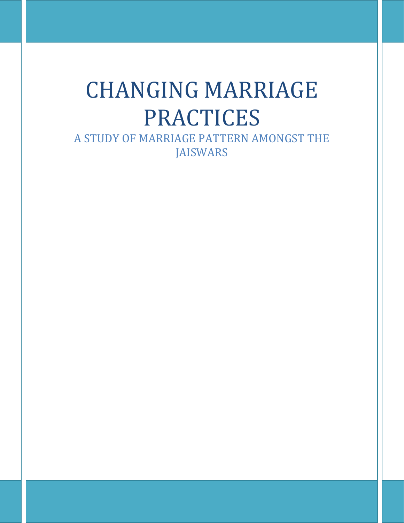# CHANGING MARRIAGE **PRACTICES**

A STUDY OF MARRIAGE PATTERN AMONGST THE JAISWARS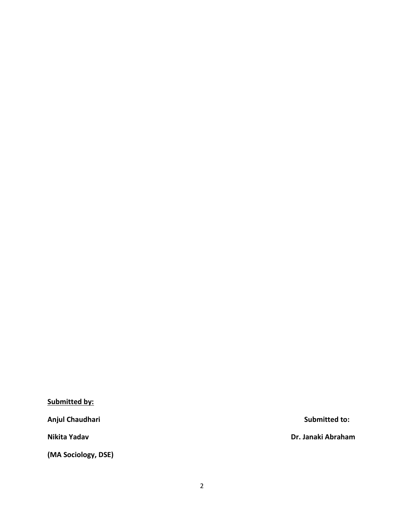**Submitted by:** 

Anjul Chaudhari **National Submitted to: Submitted to:** 

**(MA Sociology, DSE)**

**Nikita Yadav Dr. Janaki Abraham**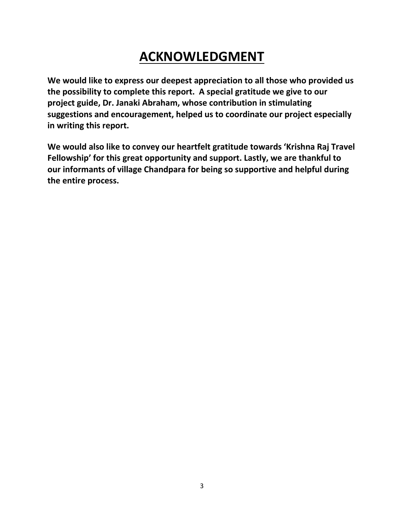# **ACKNOWLEDGMENT**

**We would like to express our deepest appreciation to all those who provided us the possibility to complete this report. A special gratitude we give to our project guide, Dr. Janaki Abraham, whose contribution in stimulating suggestions and encouragement, helped us to coordinate our project especially in writing this report.**

**We would also like to convey our heartfelt gratitude towards 'Krishna Raj Travel Fellowship' for this great opportunity and support. Lastly, we are thankful to our informants of village Chandpara for being so supportive and helpful during the entire process.**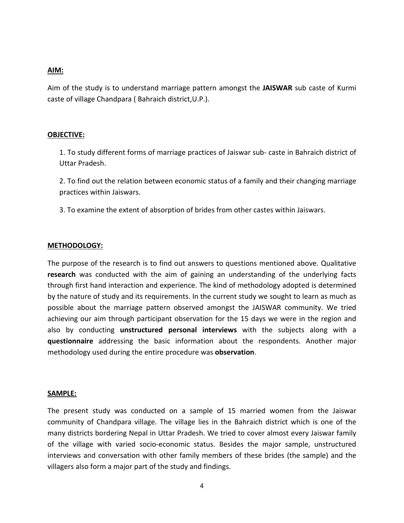#### **AIM:**

Aim of the study is to understand marriage pattern amongst the **JAISWAR** sub caste of Kurmi caste of village Chandpara ( Bahraich district,U.P.).

#### **OBJECTIVE:**

1. To study different forms of marriage practices of Jaiswar sub- caste in Bahraich district of Uttar Pradesh.

2. To find out the relation between economic status of a family and their changing marriage practices within Jaiswars.

3. To examine the extent of absorption of brides from other castes within Jaiswars.

#### **METHODOLOGY:**

The purpose of the research is to find out answers to questions mentioned above. Qualitative **research** was conducted with the aim of gaining an understanding of the underlying facts through first hand interaction and experience. The kind of methodology adopted is determined by the nature of study and its requirements. In the current study we sought to learn as much as possible about the marriage pattern observed amongst the JAISWAR community. We tried achieving our aim through participant observation for the 15 days we were in the region and also by conducting **unstructured personal interviews** with the subjects along with a **questionnaire** addressing the basic information about the respondents. Another major methodology used during the entire procedure was **observation**.

#### **SAMPLE:**

The present study was conducted on a sample of 15 married women from the Jaiswar community of Chandpara village. The village lies in the Bahraich district which is one of the many districts bordering Nepal in Uttar Pradesh. We tried to cover almost every Jaiswar family of the village with varied socio-economic status. Besides the major sample, unstructured interviews and conversation with other family members of these brides (the sample) and the villagers also form a major part of the study and findings.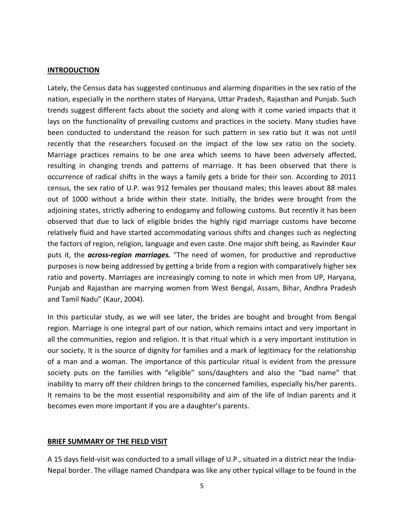#### **INTRODUCTION**

Lately, the Census data has suggested continuous and alarming disparities in the sex ratio of the nation, especially in the northern states of Haryana, Uttar Pradesh, Rajasthan and Punjab. Such trends suggest different facts about the society and along with it come varied impacts that it lays on the functionality of prevailing customs and practices in the society. Many studies have been conducted to understand the reason for such pattern in sex ratio but it was not until recently that the researchers focused on the impact of the low sex ratio on the society. Marriage practices remains to be one area which seems to have been adversely affected, resulting in changing trends and patterns of marriage. It has been observed that there is occurrence of radical shifts in the ways a family gets a bride for their son. According to 2011 census, the sex ratio of U.P. was 912 females per thousand males; this leaves about 88 males out of 1000 without a bride within their state. Initially, the brides were brought from the adjoining states, strictly adhering to endogamy and following customs. But recently it has been observed that due to lack of eligible brides the highly rigid marriage customs have become relatively fluid and have started accommodating various shifts and changes such as neglecting the factors of region, religion, language and even caste. One major shift being, as Ravinder Kaur puts it, the *across-region marriages.* "The need of women, for productive and reproductive purposes is now being addressed by getting a bride from a region with comparatively higher sex ratio and poverty. Marriages are increasingly coming to note in which men from UP, Haryana, Punjab and Rajasthan are marrying women from West Bengal, Assam, Bihar, Andhra Pradesh and Tamil Nadu" (Kaur, 2004).

In this particular study, as we will see later, the brides are bought and brought from Bengal region. Marriage is one integral part of our nation, which remains intact and very important in all the communities, region and religion. It is that ritual which is a very important institution in our society**.** It is the source of dignity for families and a mark of legitimacy for the relationship of a man and a woman. The importance of this particular ritual is evident from the pressure society puts on the families with "eligible" sons/daughters and also the "bad name" that inability to marry off their children brings to the concerned families, especially his/her parents. It remains to be the most essential responsibility and aim of the life of Indian parents and it becomes even more important if you are a daughter's parents.

# **BRIEF SUMMARY OF THE FIELD VISIT**

A 15 days field-visit was conducted to a small village of U.P., situated in a district near the India-Nepal border. The village named Chandpara was like any other typical village to be found in the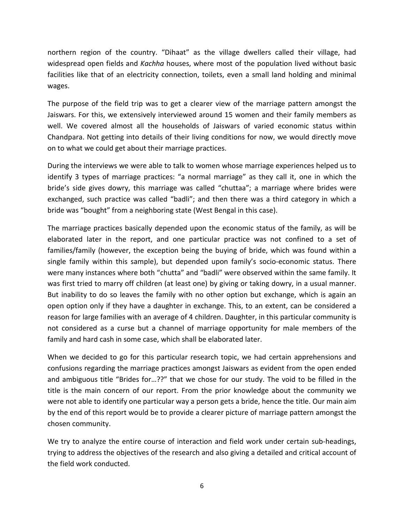northern region of the country. "Dihaat" as the village dwellers called their village, had widespread open fields and *Kachha* houses, where most of the population lived without basic facilities like that of an electricity connection, toilets, even a small land holding and minimal wages.

The purpose of the field trip was to get a clearer view of the marriage pattern amongst the Jaiswars. For this, we extensively interviewed around 15 women and their family members as well. We covered almost all the households of Jaiswars of varied economic status within Chandpara. Not getting into details of their living conditions for now, we would directly move on to what we could get about their marriage practices.

During the interviews we were able to talk to women whose marriage experiences helped us to identify 3 types of marriage practices: "a normal marriage" as they call it, one in which the bride's side gives dowry, this marriage was called "chuttaa"; a marriage where brides were exchanged, such practice was called "badli"; and then there was a third category in which a bride was "bought" from a neighboring state (West Bengal in this case).

The marriage practices basically depended upon the economic status of the family, as will be elaborated later in the report, and one particular practice was not confined to a set of families/family (however, the exception being the buying of bride, which was found within a single family within this sample), but depended upon family's socio-economic status. There were many instances where both "chutta" and "badli" were observed within the same family. It was first tried to marry off children (at least one) by giving or taking dowry, in a usual manner. But inability to do so leaves the family with no other option but exchange, which is again an open option only if they have a daughter in exchange. This, to an extent, can be considered a reason for large families with an average of 4 children. Daughter, in this particular community is not considered as a curse but a channel of marriage opportunity for male members of the family and hard cash in some case, which shall be elaborated later.

When we decided to go for this particular research topic, we had certain apprehensions and confusions regarding the marriage practices amongst Jaiswars as evident from the open ended and ambiguous title "Brides for…??" that we chose for our study. The void to be filled in the title is the main concern of our report. From the prior knowledge about the community we were not able to identify one particular way a person gets a bride, hence the title. Our main aim by the end of this report would be to provide a clearer picture of marriage pattern amongst the chosen community.

We try to analyze the entire course of interaction and field work under certain sub-headings, trying to address the objectives of the research and also giving a detailed and critical account of the field work conducted.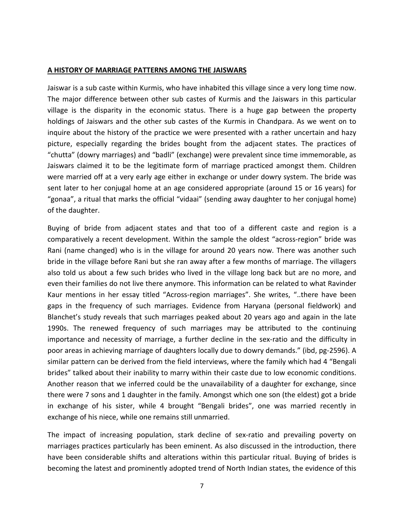#### **A HISTORY OF MARRIAGE PATTERNS AMONG THE JAISWARS**

Jaiswar is a sub caste within Kurmis, who have inhabited this village since a very long time now. The major difference between other sub castes of Kurmis and the Jaiswars in this particular village is the disparity in the economic status. There is a huge gap between the property holdings of Jaiswars and the other sub castes of the Kurmis in Chandpara. As we went on to inquire about the history of the practice we were presented with a rather uncertain and hazy picture, especially regarding the brides bought from the adjacent states. The practices of "chutta" (dowry marriages) and "badli" (exchange) were prevalent since time immemorable, as Jaiswars claimed it to be the legitimate form of marriage practiced amongst them. Children were married off at a very early age either in exchange or under dowry system. The bride was sent later to her conjugal home at an age considered appropriate (around 15 or 16 years) for "gonaa", a ritual that marks the official "vidaai" (sending away daughter to her conjugal home) of the daughter.

Buying of bride from adjacent states and that too of a different caste and region is a comparatively a recent development. Within the sample the oldest "across-region" bride was Rani (name changed) who is in the village for around 20 years now. There was another such bride in the village before Rani but she ran away after a few months of marriage. The villagers also told us about a few such brides who lived in the village long back but are no more, and even their families do not live there anymore. This information can be related to what Ravinder Kaur mentions in her essay titled "Across-region marriages". She writes, "..there have been gaps in the frequency of such marriages. Evidence from Haryana (personal fieldwork) and Blanchet's study reveals that such marriages peaked about 20 years ago and again in the late 1990s. The renewed frequency of such marriages may be attributed to the continuing importance and necessity of marriage, a further decline in the sex-ratio and the difficulty in poor areas in achieving marriage of daughters locally due to dowry demands." (ibd, pg-2596). A similar pattern can be derived from the field interviews, where the family which had 4 "Bengali brides" talked about their inability to marry within their caste due to low economic conditions. Another reason that we inferred could be the unavailability of a daughter for exchange, since there were 7 sons and 1 daughter in the family. Amongst which one son (the eldest) got a bride in exchange of his sister, while 4 brought "Bengali brides", one was married recently in exchange of his niece, while one remains still unmarried.

The impact of increasing population, stark decline of sex-ratio and prevailing poverty on marriages practices particularly has been eminent. As also discussed in the introduction, there have been considerable shifts and alterations within this particular ritual. Buying of brides is becoming the latest and prominently adopted trend of North Indian states, the evidence of this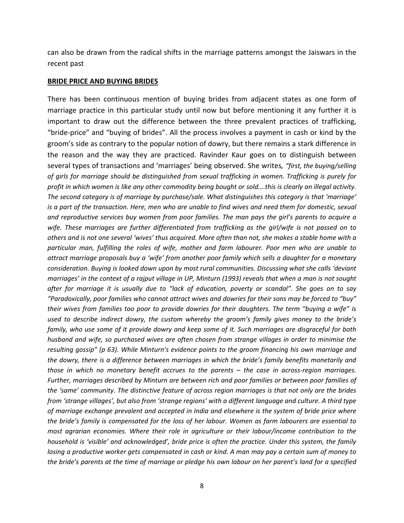can also be drawn from the radical shifts in the marriage patterns amongst the Jaiswars in the recent past

#### **BRIDE PRICE AND BUYING BRIDES**

There has been continuous mention of buying brides from adjacent states as one form of marriage practice in this particular study until now but before mentioning it any further it is important to draw out the difference between the three prevalent practices of trafficking, "bride-price" and "buying of brides". All the process involves a payment in cash or kind by the groom's side as contrary to the popular notion of dowry, but there remains a stark difference in the reason and the way they are practiced. Ravinder Kaur goes on to distinguish between several types of transactions and 'marriages' being observed. She writes*, "first, the buying/selling of girls for marriage should be distinguished from sexual trafficking in women. Trafficking is purely for profit in which women is like any other commodity being bought or sold….this is clearly an illegal activity. The second category is of marriage by purchase/sale. What distinguishes this category is that 'marriage' is a part of the transaction. Here, men who are unable to find wives and need them for domestic, sexual and reproductive services buy women from poor families. The man pays the girl's parents to acquire a wife. These marriages are further differentiated from trafficking as the girl/wife is not passed on to others and is not one several 'wives' thus acquired. More often than not, she makes a stable home with a particular man, fulfilling the roles of wife, mother and farm labourer. Poor men who are unable to attract marriage proposals buy a 'wife' from another poor family which sells a daughter for a monetary consideration. Buying is looked down upon by most rural communities. Discussing what she calls 'deviant marriages' in the context of a rajput village in UP, Minturn (1993) reveals that when a man is not sought after for marriage it is usually due to "lack of education, poverty or scandal". She goes on to say "Paradoxically, poor families who cannot attract wives and dowries for their sons may be forced to "buy" their wives from families too poor to provide dowries for their daughters. The term "buying a wife" is used to describe indirect dowry, the custom whereby the groom's family gives money to the bride's family, who use some of it provide dowry and keep some of it. Such marriages are disgraceful for both husband and wife, so purchased wives are often chosen from strange villages in order to minimise the resulting gossip" (p 63). While Minturn's evidence points to the groom financing his own marriage and the dowry, there is a difference between marriages in which the bride's family benefits monetarily and those in which no monetary benefit accrues to the parents – the case in across-region marriages. Further, marriages described by Minturn are between rich and poor families or between poor families of the 'same' community. The distinctive feature of across region marriages is that not only are the brides from 'strange villages', but also from 'strange regions' with a different language and culture. A third type of marriage exchange prevalent and accepted in India and elsewhere is the system of bride price where the bride's family is compensated for the loss of her labour. Women as farm labourers are essential to most agrarian economies. Where their role in agriculture or their labour/income contribution to the household is 'visible' and acknowledged', bride price is often the practice. Under this system, the family losing a productive worker gets compensated in cash or kind. A man may pay a certain sum of money to the bride's parents at the time of marriage or pledge his own labour on her parent's land for a specified*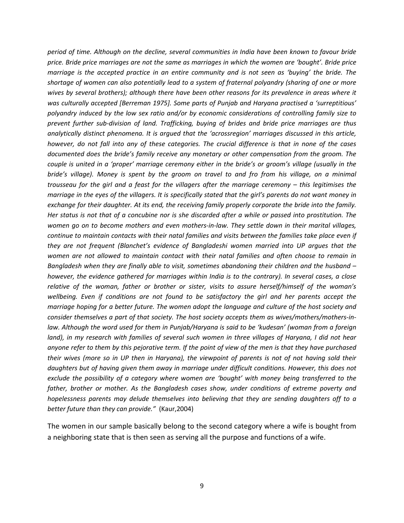*period of time. Although on the decline, several communities in India have been known to favour bride price. Bride price marriages are not the same as marriages in which the women are 'bought'. Bride price marriage is the accepted practice in an entire community and is not seen as 'buying' the bride. The shortage of women can also potentially lead to a system of fraternal polyandry (sharing of one or more wives by several brothers); although there have been other reasons for its prevalence in areas where it was culturally accepted [Berreman 1975]. Some parts of Punjab and Haryana practised a 'surreptitious' polyandry induced by the low sex ratio and/or by economic considerations of controlling family size to prevent further sub-division of land. Trafficking, buying of brides and bride price marriages are thus analytically distinct phenomena. It is argued that the 'acrossregion' marriages discussed in this article, however, do not fall into any of these categories. The crucial difference is that in none of the cases documented does the bride's family receive any monetary or other compensation from the groom. The couple is united in a 'proper' marriage ceremony either in the bride's or groom's village (usually in the bride's village). Money is spent by the groom on travel to and fro from his village, on a minimal trousseau for the girl and a feast for the villagers after the marriage ceremony – this legitimises the marriage in the eyes of the villagers. It is specifically stated that the girl's parents do not want money in exchange for their daughter. At its end, the receiving family properly corporate the bride into the family. Her status is not that of a concubine nor is she discarded after a while or passed into prostitution. The women go on to become mothers and even mothers-in-law. They settle down in their marital villages, continue to maintain contacts with their natal families and visits between the families take place even if they are not frequent (Blanchet's evidence of Bangladeshi women married into UP argues that the women are not allowed to maintain contact with their natal families and often choose to remain in Bangladesh when they are finally able to visit, sometimes abandoning their children and the husband – however, the evidence gathered for marriages within India is to the contrary). In several cases, a close relative of the woman, father or brother or sister, visits to assure herself/himself of the woman's wellbeing. Even if conditions are not found to be satisfactory the girl and her parents accept the marriage hoping for a better future. The women adopt the language and culture of the host society and consider themselves a part of that society. The host society accepts them as wives/mothers/mothers-inlaw. Although the word used for them in Punjab/Haryana is said to be 'kudesan' (woman from a foreign land), in my research with families of several such women in three villages of Haryana, I did not hear anyone refer to them by this pejorative term. If the point of view of the men is that they have purchased their wives (more so in UP then in Haryana), the viewpoint of parents is not of not having sold their daughters but of having given them away in marriage under difficult conditions. However, this does not exclude the possibility of a category where women are 'bought' with money being transferred to the father, brother or mother. As the Bangladesh cases show, under conditions of extreme poverty and hopelessness parents may delude themselves into believing that they are sending daughters off to a better future than they can provide."* (Kaur,2004)

The women in our sample basically belong to the second category where a wife is bought from a neighboring state that is then seen as serving all the purpose and functions of a wife.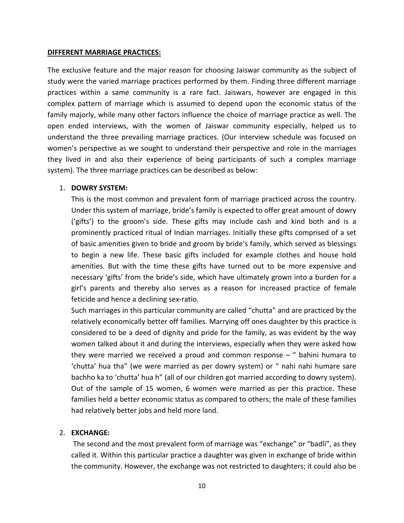#### **DIFFERENT MARRIAGE PRACTICES:**

The exclusive feature and the major reason for choosing Jaiswar community as the subject of study were the varied marriage practices performed by them. Finding three different marriage practices within a same community is a rare fact. Jaiswars, however are engaged in this complex pattern of marriage which is assumed to depend upon the economic status of the family majorly, while many other factors influence the choice of marriage practice as well. The open ended interviews, with the women of Jaiswar community especially, helped us to understand the three prevailing marriage practices. (Our interview schedule was focused on women's perspective as we sought to understand their perspective and role in the marriages they lived in and also their experience of being participants of such a complex marriage system). The three marriage practices can be described as below:

#### 1. **DOWRY SYSTEM:**

This is the most common and prevalent form of marriage practiced across the country. Under this system of marriage, bride's family is expected to offer great amount of dowry ('gifts') to the groom's side. These gifts may include cash and kind both and is a prominently practiced ritual of Indian marriages. Initially these gifts comprised of a set of basic amenities given to bride and groom by bride's family, which served as blessings to begin a new life. These basic gifts included for example clothes and house hold amenities. But with the time these gifts have turned out to be more expensive and necessary 'gifts' from the bride's side, which have ultimately grown into a burden for a girl's parents and thereby also serves as a reason for increased practice of female feticide and hence a declining sex-ratio.

Such marriages in this particular community are called "chutta" and are practiced by the relatively economically better off families. Marrying off ones daughter by this practice is considered to be a deed of dignity and pride for the family, as was evident by the way women talked about it and during the interviews, especially when they were asked how they were married we received a proud and common response – " bahini humara to 'chutta' hua tha" (we were married as per dowry system) or " nahi nahi humare sare bachho ka to 'chutta' hua h" (all of our children got married according to dowry system). Out of the sample of 15 women, 6 women were married as per this practice. These families held a better economic status as compared to others; the male of these families had relatively better jobs and held more land.

# 2. **EXCHANGE:**

The second and the most prevalent form of marriage was "exchange" or "badli", as they called it. Within this particular practice a daughter was given in exchange of bride within the community. However, the exchange was not restricted to daughters; it could also be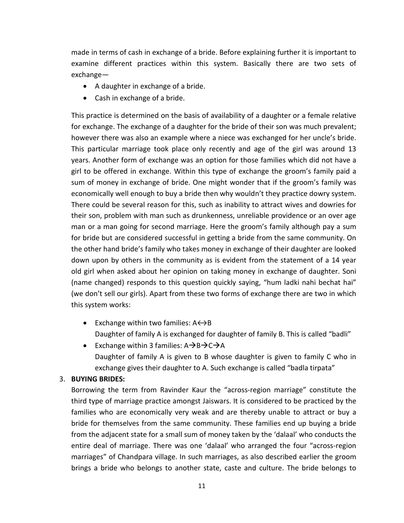made in terms of cash in exchange of a bride. Before explaining further it is important to examine different practices within this system. Basically there are two sets of exchange—

- A daughter in exchange of a bride.
- Cash in exchange of a bride.

This practice is determined on the basis of availability of a daughter or a female relative for exchange. The exchange of a daughter for the bride of their son was much prevalent; however there was also an example where a niece was exchanged for her uncle's bride. This particular marriage took place only recently and age of the girl was around 13 years. Another form of exchange was an option for those families which did not have a girl to be offered in exchange. Within this type of exchange the groom's family paid a sum of money in exchange of bride. One might wonder that if the groom's family was economically well enough to buy a bride then why wouldn't they practice dowry system. There could be several reason for this, such as inability to attract wives and dowries for their son, problem with man such as drunkenness, unreliable providence or an over age man or a man going for second marriage. Here the groom's family although pay a sum for bride but are considered successful in getting a bride from the same community. On the other hand bride's family who takes money in exchange of their daughter are looked down upon by others in the community as is evident from the statement of a 14 year old girl when asked about her opinion on taking money in exchange of daughter. Soni (name changed) responds to this question quickly saying, "hum ladki nahi bechat hai" (we don't sell our girls). Apart from these two forms of exchange there are two in which this system works:

- Exchange within two families:  $A \leftrightarrow B$ Daughter of family A is exchanged for daughter of family B. This is called "badli"
- Exchange within 3 families:  $A \rightarrow B \rightarrow C \rightarrow A$ Daughter of family A is given to B whose daughter is given to family C who in exchange gives their daughter to A. Such exchange is called "badla tirpata"

# 3. **BUYING BRIDES:**

Borrowing the term from Ravinder Kaur the "across-region marriage" constitute the third type of marriage practice amongst Jaiswars. It is considered to be practiced by the families who are economically very weak and are thereby unable to attract or buy a bride for themselves from the same community. These families end up buying a bride from the adjacent state for a small sum of money taken by the 'dalaal' who conducts the entire deal of marriage. There was one 'dalaal' who arranged the four "across-region marriages" of Chandpara village. In such marriages, as also described earlier the groom brings a bride who belongs to another state, caste and culture. The bride belongs to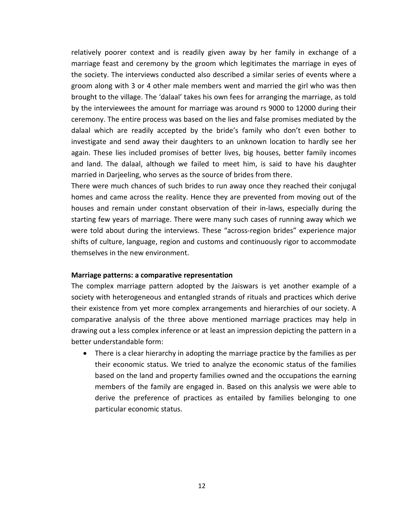relatively poorer context and is readily given away by her family in exchange of a marriage feast and ceremony by the groom which legitimates the marriage in eyes of the society. The interviews conducted also described a similar series of events where a groom along with 3 or 4 other male members went and married the girl who was then brought to the village. The 'dalaal' takes his own fees for arranging the marriage, as told by the interviewees the amount for marriage was around rs 9000 to 12000 during their ceremony. The entire process was based on the lies and false promises mediated by the dalaal which are readily accepted by the bride's family who don't even bother to investigate and send away their daughters to an unknown location to hardly see her again. These lies included promises of better lives, big houses, better family incomes and land. The dalaal, although we failed to meet him, is said to have his daughter married in Darjeeling, who serves as the source of brides from there.

There were much chances of such brides to run away once they reached their conjugal homes and came across the reality. Hence they are prevented from moving out of the houses and remain under constant observation of their in-laws, especially during the starting few years of marriage. There were many such cases of running away which we were told about during the interviews. These "across-region brides" experience major shifts of culture, language, region and customs and continuously rigor to accommodate themselves in the new environment.

#### **Marriage patterns: a comparative representation**

The complex marriage pattern adopted by the Jaiswars is yet another example of a society with heterogeneous and entangled strands of rituals and practices which derive their existence from yet more complex arrangements and hierarchies of our society. A comparative analysis of the three above mentioned marriage practices may help in drawing out a less complex inference or at least an impression depicting the pattern in a better understandable form:

• There is a clear hierarchy in adopting the marriage practice by the families as per their economic status. We tried to analyze the economic status of the families based on the land and property families owned and the occupations the earning members of the family are engaged in. Based on this analysis we were able to derive the preference of practices as entailed by families belonging to one particular economic status.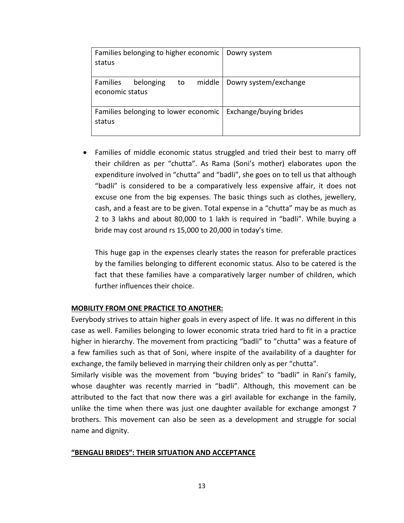| Families belonging to higher economic   Dowry system<br>status          |                       |
|-------------------------------------------------------------------------|-----------------------|
| Families<br>belonging<br>middle<br>to<br>economic status                | Dowry system/exchange |
| Families belonging to lower economic   Exchange/buying brides<br>status |                       |

• Families of middle economic status struggled and tried their best to marry off their children as per "chutta". As Rama (Soni's mother) elaborates upon the expenditure involved in "chutta" and "badli", she goes on to tell us that although "badli" is considered to be a comparatively less expensive affair, it does not excuse one from the big expenses. The basic things such as clothes, jewellery, cash, and a feast are to be given. Total expense in a "chutta" may be as much as 2 to 3 lakhs and about 80,000 to 1 lakh is required in "badli". While buying a bride may cost around rs 15,000 to 20,000 in today's time.

This huge gap in the expenses clearly states the reason for preferable practices by the families belonging to different economic status. Also to be catered is the fact that these families have a comparatively larger number of children, which further influences their choice.

# **MOBILITY FROM ONE PRACTICE TO ANOTHER:**

Everybody strives to attain higher goals in every aspect of life. It was no different in this case as well. Families belonging to lower economic strata tried hard to fit in a practice higher in hierarchy. The movement from practicing "badli" to "chutta" was a feature of a few families such as that of Soni, where inspite of the availability of a daughter for exchange, the family believed in marrying their children only as per "chutta".

Similarly visible was the movement from "buying brides" to "badli" in Rani's family, whose daughter was recently married in "badli". Although, this movement can be attributed to the fact that now there was a girl available for exchange in the family, unlike the time when there was just one daughter available for exchange amongst 7 brothers. This movement can also be seen as a development and struggle for social name and dignity.

# **"BENGALI BRIDES": THEIR SITUATION AND ACCEPTANCE**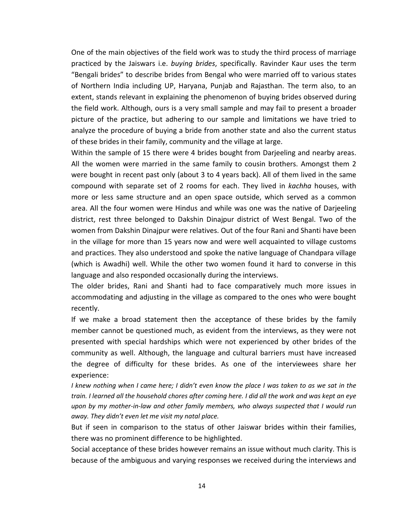One of the main objectives of the field work was to study the third process of marriage practiced by the Jaiswars i.e. *buying brides*, specifically. Ravinder Kaur uses the term "Bengali brides" to describe brides from Bengal who were married off to various states of Northern India including UP, Haryana, Punjab and Rajasthan. The term also, to an extent, stands relevant in explaining the phenomenon of buying brides observed during the field work. Although, ours is a very small sample and may fail to present a broader picture of the practice, but adhering to our sample and limitations we have tried to analyze the procedure of buying a bride from another state and also the current status of these brides in their family, community and the village at large.

Within the sample of 15 there were 4 brides bought from Darjeeling and nearby areas. All the women were married in the same family to cousin brothers. Amongst them 2 were bought in recent past only (about 3 to 4 years back). All of them lived in the same compound with separate set of 2 rooms for each. They lived in *kachha* houses, with more or less same structure and an open space outside, which served as a common area. All the four women were Hindus and while was one was the native of Darjeeling district, rest three belonged to Dakshin Dinajpur district of West Bengal. Two of the women from Dakshin Dinajpur were relatives. Out of the four Rani and Shanti have been in the village for more than 15 years now and were well acquainted to village customs and practices. They also understood and spoke the native language of Chandpara village (which is Awadhi) well. While the other two women found it hard to converse in this language and also responded occasionally during the interviews.

The older brides, Rani and Shanti had to face comparatively much more issues in accommodating and adjusting in the village as compared to the ones who were bought recently.

If we make a broad statement then the acceptance of these brides by the family member cannot be questioned much, as evident from the interviews, as they were not presented with special hardships which were not experienced by other brides of the community as well. Although, the language and cultural barriers must have increased the degree of difficulty for these brides. As one of the interviewees share her experience:

*I knew nothing when I came here; I didn't even know the place I was taken to as we sat in the train. I learned all the household chores after coming here. I did all the work and was kept an eye upon by my mother-in-law and other family members, who always suspected that I would run away. They didn't even let me visit my natal place.*

But if seen in comparison to the status of other Jaiswar brides within their families, there was no prominent difference to be highlighted.

Social acceptance of these brides however remains an issue without much clarity. This is because of the ambiguous and varying responses we received during the interviews and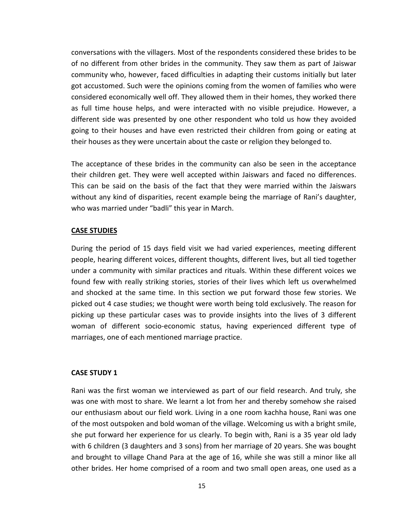conversations with the villagers. Most of the respondents considered these brides to be of no different from other brides in the community. They saw them as part of Jaiswar community who, however, faced difficulties in adapting their customs initially but later got accustomed. Such were the opinions coming from the women of families who were considered economically well off. They allowed them in their homes, they worked there as full time house helps, and were interacted with no visible prejudice. However, a different side was presented by one other respondent who told us how they avoided going to their houses and have even restricted their children from going or eating at their houses as they were uncertain about the caste or religion they belonged to.

The acceptance of these brides in the community can also be seen in the acceptance their children get. They were well accepted within Jaiswars and faced no differences. This can be said on the basis of the fact that they were married within the Jaiswars without any kind of disparities, recent example being the marriage of Rani's daughter, who was married under "badli" this year in March.

#### **CASE STUDIES**

During the period of 15 days field visit we had varied experiences, meeting different people, hearing different voices, different thoughts, different lives, but all tied together under a community with similar practices and rituals. Within these different voices we found few with really striking stories, stories of their lives which left us overwhelmed and shocked at the same time. In this section we put forward those few stories. We picked out 4 case studies; we thought were worth being told exclusively. The reason for picking up these particular cases was to provide insights into the lives of 3 different woman of different socio-economic status, having experienced different type of marriages, one of each mentioned marriage practice.

#### **CASE STUDY 1**

Rani was the first woman we interviewed as part of our field research. And truly, she was one with most to share. We learnt a lot from her and thereby somehow she raised our enthusiasm about our field work. Living in a one room kachha house, Rani was one of the most outspoken and bold woman of the village. Welcoming us with a bright smile, she put forward her experience for us clearly. To begin with, Rani is a 35 year old lady with 6 children (3 daughters and 3 sons) from her marriage of 20 years. She was bought and brought to village Chand Para at the age of 16, while she was still a minor like all other brides. Her home comprised of a room and two small open areas, one used as a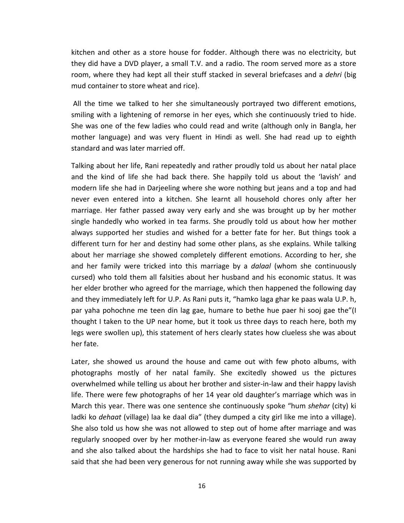kitchen and other as a store house for fodder. Although there was no electricity, but they did have a DVD player, a small T.V. and a radio. The room served more as a store room, where they had kept all their stuff stacked in several briefcases and a *dehri* (big mud container to store wheat and rice).

All the time we talked to her she simultaneously portrayed two different emotions, smiling with a lightening of remorse in her eyes, which she continuously tried to hide. She was one of the few ladies who could read and write (although only in Bangla, her mother language) and was very fluent in Hindi as well. She had read up to eighth standard and was later married off.

Talking about her life, Rani repeatedly and rather proudly told us about her natal place and the kind of life she had back there. She happily told us about the 'lavish' and modern life she had in Darjeeling where she wore nothing but jeans and a top and had never even entered into a kitchen. She learnt all household chores only after her marriage. Her father passed away very early and she was brought up by her mother single handedly who worked in tea farms. She proudly told us about how her mother always supported her studies and wished for a better fate for her. But things took a different turn for her and destiny had some other plans, as she explains. While talking about her marriage she showed completely different emotions. According to her, she and her family were tricked into this marriage by a *dalaal* (whom she continuously cursed) who told them all falsities about her husband and his economic status. It was her elder brother who agreed for the marriage, which then happened the following day and they immediately left for U.P. As Rani puts it, "hamko laga ghar ke paas wala U.P. h, par yaha pohochne me teen din lag gae, humare to bethe hue paer hi sooj gae the"(I thought I taken to the UP near home, but it took us three days to reach here, both my legs were swollen up), this statement of hers clearly states how clueless she was about her fate.

Later, she showed us around the house and came out with few photo albums, with photographs mostly of her natal family. She excitedly showed us the pictures overwhelmed while telling us about her brother and sister-in-law and their happy lavish life. There were few photographs of her 14 year old daughter's marriage which was in March this year. There was one sentence she continuously spoke "hum *shehar* (city) ki ladki ko *dehaat* (village) laa ke daal dia" (they dumped a city girl like me into a village). She also told us how she was not allowed to step out of home after marriage and was regularly snooped over by her mother-in-law as everyone feared she would run away and she also talked about the hardships she had to face to visit her natal house. Rani said that she had been very generous for not running away while she was supported by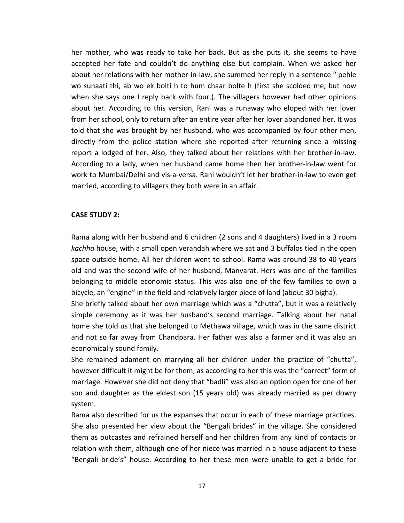her mother, who was ready to take her back. But as she puts it, she seems to have accepted her fate and couldn't do anything else but complain. When we asked her about her relations with her mother-in-law, she summed her reply in a sentence " pehle wo sunaati thi, ab wo ek bolti h to hum chaar bolte h (first she scolded me, but now when she says one I reply back with four.). The villagers however had other opinions about her. According to this version, Rani was a runaway who eloped with her lover from her school, only to return after an entire year after her lover abandoned her. It was told that she was brought by her husband, who was accompanied by four other men, directly from the police station where she reported after returning since a missing report a lodged of her. Also, they talked about her relations with her brother-in-law. According to a lady, when her husband came home then her brother-in-law went for work to Mumbai/Delhi and vis-a-versa. Rani wouldn't let her brother-in-law to even get married, according to villagers they both were in an affair.

#### **CASE STUDY 2:**

Rama along with her husband and 6 children (2 sons and 4 daughters) lived in a 3 room *kachha* house, with a small open verandah where we sat and 3 buffalos tied in the open space outside home. All her children went to school. Rama was around 38 to 40 years old and was the second wife of her husband, Manvarat. Hers was one of the families belonging to middle economic status. This was also one of the few families to own a bicycle, an "engine" in the field and relatively larger piece of land (about 30 bigha).

She briefly talked about her own marriage which was a "chutta", but it was a relatively simple ceremony as it was her husband's second marriage. Talking about her natal home she told us that she belonged to Methawa village, which was in the same district and not so far away from Chandpara. Her father was also a farmer and it was also an economically sound family.

She remained adament on marrying all her children under the practice of "chutta", however difficult it might be for them, as according to her this was the "correct" form of marriage. However she did not deny that "badli" was also an option open for one of her son and daughter as the eldest son (15 years old) was already married as per dowry system.

Rama also described for us the expanses that occur in each of these marriage practices. She also presented her view about the "Bengali brides" in the village. She considered them as outcastes and refrained herself and her children from any kind of contacts or relation with them, although one of her niece was married in a house adjacent to these "Bengali bride's" house. According to her these men were unable to get a bride for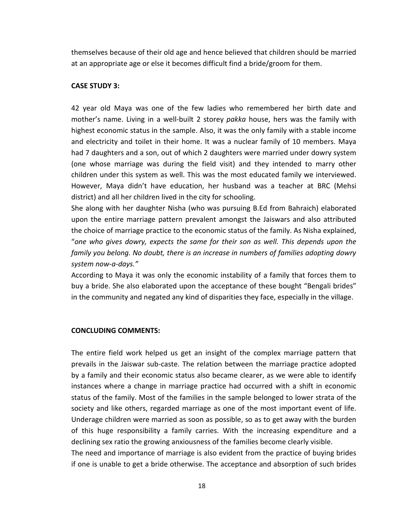themselves because of their old age and hence believed that children should be married at an appropriate age or else it becomes difficult find a bride/groom for them.

#### **CASE STUDY 3:**

42 year old Maya was one of the few ladies who remembered her birth date and mother's name. Living in a well-built 2 storey *pakka* house, hers was the family with highest economic status in the sample. Also, it was the only family with a stable income and electricity and toilet in their home. It was a nuclear family of 10 members. Maya had 7 daughters and a son, out of which 2 daughters were married under dowry system (one whose marriage was during the field visit) and they intended to marry other children under this system as well. This was the most educated family we interviewed. However, Maya didn't have education, her husband was a teacher at BRC (Mehsi district) and all her children lived in the city for schooling.

She along with her daughter Nisha (who was pursuing B.Ed from Bahraich) elaborated upon the entire marriage pattern prevalent amongst the Jaiswars and also attributed the choice of marriage practice to the economic status of the family. As Nisha explained, "*one who gives dowry, expects the same for their son as well. This depends upon the family you belong. No doubt, there is an increase in numbers of families adopting dowry system now-a-days."*

According to Maya it was only the economic instability of a family that forces them to buy a bride. She also elaborated upon the acceptance of these bought "Bengali brides" in the community and negated any kind of disparities they face, especially in the village.

# **CONCLUDING COMMENTS:**

The entire field work helped us get an insight of the complex marriage pattern that prevails in the Jaiswar sub-caste. The relation between the marriage practice adopted by a family and their economic status also became clearer, as we were able to identify instances where a change in marriage practice had occurred with a shift in economic status of the family. Most of the families in the sample belonged to lower strata of the society and like others, regarded marriage as one of the most important event of life. Underage children were married as soon as possible, so as to get away with the burden of this huge responsibility a family carries. With the increasing expenditure and a declining sex ratio the growing anxiousness of the families become clearly visible.

The need and importance of marriage is also evident from the practice of buying brides if one is unable to get a bride otherwise. The acceptance and absorption of such brides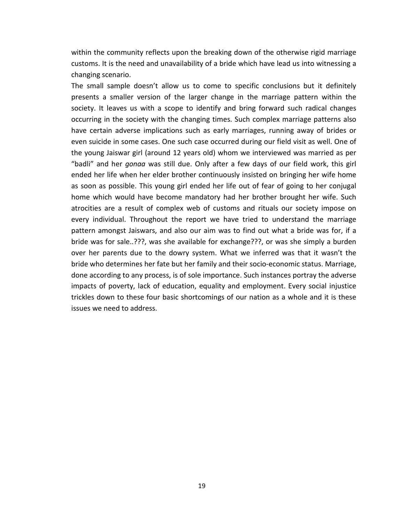within the community reflects upon the breaking down of the otherwise rigid marriage customs. It is the need and unavailability of a bride which have lead us into witnessing a changing scenario.

The small sample doesn't allow us to come to specific conclusions but it definitely presents a smaller version of the larger change in the marriage pattern within the society. It leaves us with a scope to identify and bring forward such radical changes occurring in the society with the changing times. Such complex marriage patterns also have certain adverse implications such as early marriages, running away of brides or even suicide in some cases. One such case occurred during our field visit as well. One of the young Jaiswar girl (around 12 years old) whom we interviewed was married as per "badli" and her *gonaa* was still due. Only after a few days of our field work, this girl ended her life when her elder brother continuously insisted on bringing her wife home as soon as possible. This young girl ended her life out of fear of going to her conjugal home which would have become mandatory had her brother brought her wife. Such atrocities are a result of complex web of customs and rituals our society impose on every individual. Throughout the report we have tried to understand the marriage pattern amongst Jaiswars, and also our aim was to find out what a bride was for, if a bride was for sale..???, was she available for exchange???, or was she simply a burden over her parents due to the dowry system. What we inferred was that it wasn't the bride who determines her fate but her family and their socio-economic status. Marriage, done according to any process, is of sole importance. Such instances portray the adverse impacts of poverty, lack of education, equality and employment. Every social injustice trickles down to these four basic shortcomings of our nation as a whole and it is these issues we need to address.